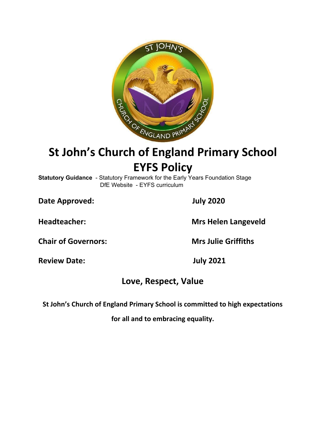

# **St John's Church of England Primary School EYFS Policy**

**Statutory Guidance** - Statutory Framework for the Early Years Foundation Stage DfE Website - EYFS curriculum

**Date Approved: July 2020**

**Headteacher: Mrs Helen Langeveld**

**Chair of Governors: Mrs Julie Griffiths**

**Review Date: July 2021**

# **Love, Respect, Value**

**St John's Church of England Primary School is committed to high expectations**

**for all and to embracing equality.**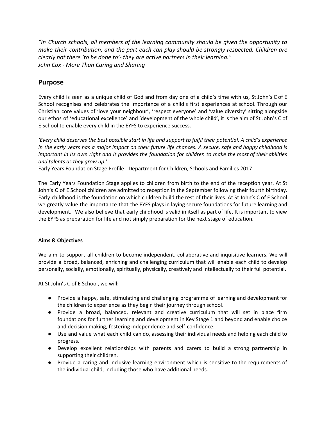*"In Church schools, all members of the learning community should be given the opportunity to make their contribution, and the part each can play should be strongly respected. Children are clearly not there 'to be done to'- they are active partners in their learning." John Cox - More Than Caring and Sharing*

# **Purpose**

Every child is seen as a unique child of God and from day one of a child's time with us, St John's C of E School recognises and celebrates the importance of a child's first experiences at school. Through our Christian core values of 'love your neighbour', 'respect everyone' and 'value diversity' sitting alongside our ethos of 'educational excellence' and 'development of the whole child', it is the aim of St John's C of E School to enable every child in the EYFS to experience success.

'Every child deserves the best possible start in life and support to fulfil their potential. A child's experience in the early years has a major impact on their future life chances. A secure, safe and happy childhood is important in its own right and it provides the foundation for children to make the most of their abilities *and talents as they grow up.'*

Early Years Foundation Stage Profile - Department for Children, Schools and Families 2017

The Early Years Foundation Stage applies to children from birth to the end of the reception year. At St John's C of E School children are admitted to reception in the September following their fourth birthday. Early childhood is the foundation on which children build the rest of their lives. At St John's C of E School we greatly value the importance that the EYFS plays in laying secure foundations for future learning and development. We also believe that early childhood is valid in itself as part of life. It is important to view the EYFS as preparation for life and not simply preparation for the next stage of education.

# **Aims & Objectives**

We aim to support all children to become independent, collaborative and inquisitive learners. We will provide a broad, balanced, enriching and challenging curriculum that will enable each child to develop personally, socially, emotionally, spiritually, physically, creatively and intellectually to their full potential.

At St John's C of E School, we will:

- Provide a happy, safe, stimulating and challenging programme of learning and development for the children to experience as they begin their journey through school.
- Provide a broad, balanced, relevant and creative curriculum that will set in place firm foundations for further learning and development in Key Stage 1 and beyond and enable choice and decision making, fostering independence and self-confidence.
- Use and value what each child can do, assessing their individual needs and helping each child to progress.
- Develop excellent relationships with parents and carers to build a strong partnership in supporting their children.
- Provide a caring and inclusive learning environment which is sensitive to the requirements of the individual child, including those who have additional needs.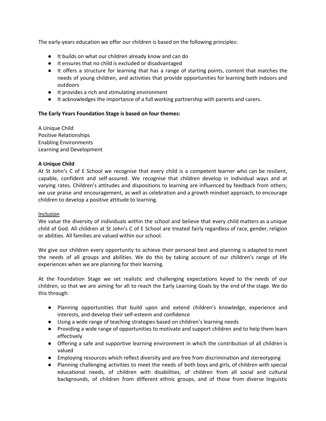The early-years education we offer our children is based on the following principles:

- It builds on what our children already know and can do
- It ensures that no child is excluded or disadvantaged
- It offers a structure for learning that has a range of starting points, content that matches the needs of young children, and activities that provide opportunities for learning both indoors and outdoors
- It provides a rich and stimulating environment
- It acknowledges the importance of a full working partnership with parents and carers.

## **The Early Years Foundation Stage is based on four themes:**

A Unique Child Positive Relationships Enabling Environments Learning and Development

#### **A Unique Child**

At St John's C of E School we recognise that every child is a competent learner who can be resilient, capable, confident and self-assured. We recognise that children develop in individual ways and at varying rates. Children's attitudes and dispositions to learning are influenced by feedback from others; we use praise and encouragement, as well as celebration and a growth mindset approach, to encourage children to develop a positive attitude to learning.

#### Inclusion

We value the diversity of individuals within the school and believe that every child matters as a unique child of God. All children at St John's C of E School are treated fairly regardless of race, gender, religion or abilities. All families are valued within our school.

We give our children every opportunity to achieve their personal best and planning is adapted to meet the needs of all groups and abilities. We do this by taking account of our children's range of life experiences when we are planning for their learning.

At the Foundation Stage we set realistic and challenging expectations keyed to the needs of our children, so that we are aiming for all to reach the Early Learning Goals by the end of the stage. We do this through:

- Planning opportunities that build upon and extend children's knowledge, experience and interests, and develop their self-esteem and confidence
- Using a wide range of teaching strategies based on children's learning needs
- Providing a wide range of opportunities to motivate and support children and to help them learn effectively
- Offering a safe and supportive learning environment in which the contribution of all children is valued
- Employing resources which reflect diversity and are free from discrimination and stereotyping
- Planning challenging activities to meet the needs of both boys and girls, of children with special educational needs, of children with disabilities, of children from all social and cultural backgrounds, of children from different ethnic groups, and of those from diverse linguistic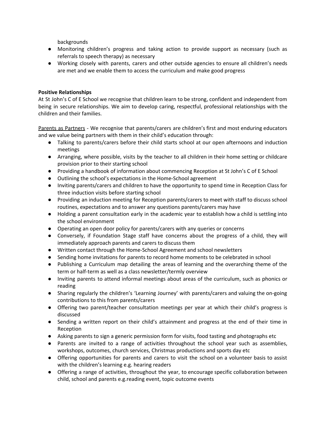backgrounds

- Monitoring children's progress and taking action to provide support as necessary (such as referrals to speech therapy) as necessary
- Working closely with parents, carers and other outside agencies to ensure all children's needs are met and we enable them to access the curriculum and make good progress

# **Positive Relationships**

At St John's C of E School we recognise that children learn to be strong, confident and independent from being in secure relationships. We aim to develop caring, respectful, professional relationships with the children and their families.

Parents as Partners - We recognise that parents/carers are children's first and most enduring educators and we value being partners with them in their child's education through:

- Talking to parents/carers before their child starts school at our open afternoons and induction meetings
- Arranging, where possible, visits by the teacher to all children in their home setting or childcare provision prior to their starting school
- Providing a handbook of information about commencing Reception at St John's C of E School
- Outlining the school's expectations in the Home-School agreement
- Inviting parents/carers and children to have the opportunity to spend time in Reception Class for three induction visits before starting school
- Providing an induction meeting for Reception parents/carers to meet with staff to discuss school routines, expectations and to answer any questions parents/carers may have
- Holding a parent consultation early in the academic year to establish how a child is settling into the school environment
- Operating an open door policy for parents/carers with any queries or concerns
- Conversely, if Foundation Stage staff have concerns about the progress of a child, they will immediately approach parents and carers to discuss them
- Written contact through the Home-School Agreement and school newsletters
- Sending home invitations for parents to record home moments to be celebrated in school
- Publishing a Curriculum map detailing the areas of learning and the overarching theme of the term or half-term as well as a class newsletter/termly overview
- Inviting parents to attend informal meetings about areas of the curriculum, such as phonics or reading
- Sharing regularly the children's 'Learning Journey' with parents/carers and valuing the on-going contributions to this from parents/carers
- Offering two parent/teacher consultation meetings per year at which their child's progress is discussed
- Sending a written report on their child's attainment and progress at the end of their time in Reception
- Asking parents to sign a generic permission form for visits, food tasting and photographs etc
- Parents are invited to a range of activities throughout the school year such as assemblies, workshops, outcomes, church services, Christmas productions and sports day etc
- Offering opportunities for parents and carers to visit the school on a volunteer basis to assist with the children's learning e.g. hearing readers
- Offering a range of activities, throughout the year, to encourage specific collaboration between child, school and parents e.g.reading event, topic outcome events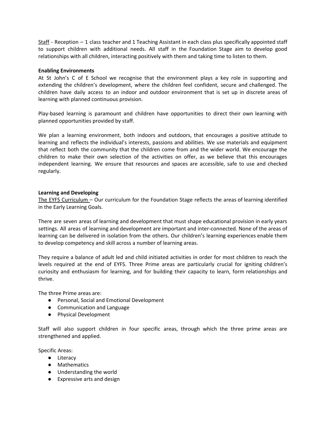Staff - Reception – 1 class teacher and 1 Teaching Assistant in each class plus specifically appointed staff to support children with additional needs. All staff in the Foundation Stage aim to develop good relationships with all children, interacting positively with them and taking time to listen to them.

#### **Enabling Environments**

At St John's C of E School we recognise that the environment plays a key role in supporting and extending the children's development, where the children feel confident, secure and challenged. The children have daily access to an indoor and outdoor environment that is set up in discrete areas of learning with planned continuous provision.

Play-based learning is paramount and children have opportunities to direct their own learning with planned opportunities provided by staff.

We plan a learning environment, both indoors and outdoors, that encourages a positive attitude to learning and reflects the individual's interests, passions and abilities. We use materials and equipment that reflect both the community that the children come from and the wider world. We encourage the children to make their own selection of the activities on offer, as we believe that this encourages independent learning. We ensure that resources and spaces are accessible, safe to use and checked regularly.

#### **Learning and Developing**

The EYFS Curriculum – Our curriculum for the Foundation Stage reflects the areas of learning identified in the Early Learning Goals.

There are seven areas of learning and development that must shape educational provision in early years settings. All areas of learning and development are important and inter-connected. None of the areas of learning can be delivered in isolation from the others. Our children's learning experiences enable them to develop competency and skill across a number of learning areas.

They require a balance of adult led and child initiated activities in order for most children to reach the levels required at the end of EYFS. Three Prime areas are particularly crucial for igniting children's curiosity and enthusiasm for learning, and for building their capacity to learn, form relationships and thrive.

The three Prime areas are:

- Personal, Social and Emotional Development
- Communication and Language
- Physical Development

Staff will also support children in four specific areas, through which the three prime areas are strengthened and applied.

Specific Areas:

- Literacy
- Mathematics
- Understanding the world
- Expressive arts and design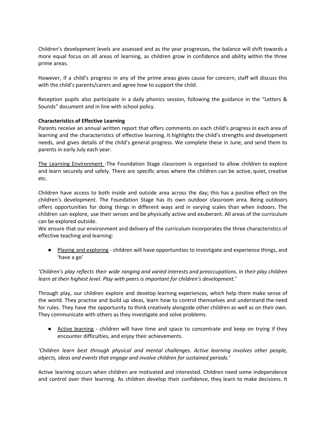Children's development levels are assessed and as the year progresses, the balance will shift towards a more equal focus on all areas of learning, as children grow in confidence and ability within the three prime areas.

However, if a child's progress in any of the prime areas gives cause for concern, staff will discuss this with the child's parents/carers and agree how to support the child.

Reception pupils also participate in a daily phonics session, following the guidance in the "Letters & Sounds" document and in line with school policy.

#### **Characteristics of Effective Learning**

Parents receive an annual written report that offers comments on each child's progress in each area of learning and the characteristics of effective learning. It highlights the child's strengths and development needs, and gives details of the child's general progress. We complete these in June, and send them to parents in early July each year.

The Learning Environment -The Foundation Stage classroom is organised to allow children to explore and learn securely and safely. There are specific areas where the children can be active, quiet, creative etc.

Children have access to both inside and outside area across the day; this has a positive effect on the children's development. The Foundation Stage has its own outdoor classroom area. Being outdoors offers opportunities for doing things in different ways and in varying scales than when indoors. The children can explore, use their senses and be physically active and exuberant. All areas of the curriculum can be explored outside.

We ensure that our environment and delivery of the curriculum incorporates the three characteristics of effective teaching and learning:

● Playing and exploring - children will have opportunities to investigate and experience things, and 'have a go'

*'Children's play reflects their wide ranging and varied interests and preoccupations. In their play children learn at their highest level. Play with peers is important for children's development.'*

Through play, our children explore and develop learning experiences, which help them make sense of the world. They practise and build up ideas, learn how to control themselves and understand the need for rules. They have the opportunity to think creatively alongside other children as well as on their own. They communicate with others as they investigate and solve problems.

● Active learning - children will have time and space to concentrate and keep on trying if they encounter difficulties, and enjoy their achievements.

*'Children learn best through physical and mental challenges. Active learning involves other people, objects, ideas and events that engage and involve children for sustained periods.'*

Active learning occurs when children are motivated and interested. Children need some independence and control over their learning. As children develop their confidence, they learn to make decisions. It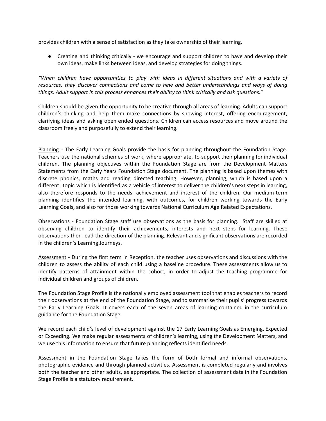provides children with a sense of satisfaction as they take ownership of their learning.

● Creating and thinking critically - we encourage and support children to have and develop their own ideas, make links between ideas, and develop strategies for doing things.

*"When children have opportunities to play with ideas in different situations and with a variety of resources, they discover connections and come to new and better understandings and ways of doing things. Adult support in this process enhances their ability to think critically and ask questions."*

Children should be given the opportunity to be creative through all areas of learning. Adults can support children's thinking and help them make connections by showing interest, offering encouragement, clarifying ideas and asking open ended questions. Children can access resources and move around the classroom freely and purposefully to extend their learning.

Planning - The Early Learning Goals provide the basis for planning throughout the Foundation Stage. Teachers use the national schemes of work, where appropriate, to support their planning for individual children. The planning objectives within the Foundation Stage are from the Development Matters Statements from the Early Years Foundation Stage document. The planning is based upon themes with discrete phonics, maths and reading directed teaching. However, planning, which is based upon a different topic which is identified as a vehicle of interest to deliver the children's next steps in learning, also therefore responds to the needs, achievement and interest of the children. Our medium-term planning identifies the intended learning, with outcomes, for children working towards the Early Learning Goals, and also for those working towards National Curriculum Age Related Expectations.

Observations - Foundation Stage staff use observations as the basis for planning. Staff are skilled at observing children to identify their achievements, interests and next steps for learning. These observations then lead the direction of the planning. Relevant and significant observations are recorded in the children's Learning Journeys.

Assessment - During the first term in Reception, the teacher uses observations and discussions with the children to assess the ability of each child using a baseline procedure. These assessments allow us to identify patterns of attainment within the cohort, in order to adjust the teaching programme for individual children and groups of children.

The Foundation Stage Profile is the nationally employed assessment tool that enables teachers to record their observations at the end of the Foundation Stage, and to summarise their pupils' progress towards the Early Learning Goals. It covers each of the seven areas of learning contained in the curriculum guidance for the Foundation Stage.

We record each child's level of development against the 17 Early Learning Goals as Emerging, Expected or Exceeding. We make regular assessments of children's learning, using the Development Matters, and we use this information to ensure that future planning reflects identified needs.

Assessment in the Foundation Stage takes the form of both formal and informal observations, photographic evidence and through planned activities. Assessment is completed regularly and involves both the teacher and other adults, as appropriate. The collection of assessment data in the Foundation Stage Profile is a statutory requirement.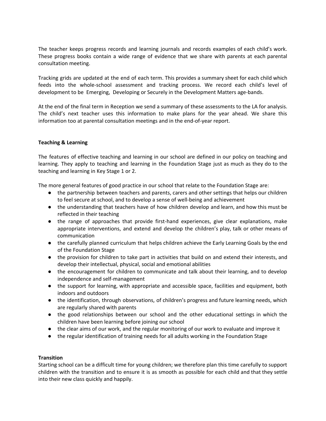The teacher keeps progress records and learning journals and records examples of each child's work. These progress books contain a wide range of evidence that we share with parents at each parental consultation meeting.

Tracking grids are updated at the end of each term. This provides a summary sheet for each child which feeds into the whole-school assessment and tracking process. We record each child's level of development to be Emerging, Developing or Securely in the Development Matters age-bands.

At the end of the final term in Reception we send a summary of these assessments to the LA for analysis. The child's next teacher uses this information to make plans for the year ahead. We share this information too at parental consultation meetings and in the end-of-year report.

## **Teaching & Learning**

The features of effective teaching and learning in our school are defined in our policy on teaching and learning. They apply to teaching and learning in the Foundation Stage just as much as they do to the teaching and learning in Key Stage 1 or 2.

The more general features of good practice in our school that relate to the Foundation Stage are:

- the partnership between teachers and parents, carers and other settings that helps our children to feel secure at school, and to develop a sense of well-being and achievement
- the understanding that teachers have of how children develop and learn, and how this must be reflected in their teaching
- the range of approaches that provide first-hand experiences, give clear explanations, make appropriate interventions, and extend and develop the children's play, talk or other means of communication
- the carefully planned curriculum that helps children achieve the Early Learning Goals by the end of the Foundation Stage
- the provision for children to take part in activities that build on and extend their interests, and develop their intellectual, physical, social and emotional abilities
- the encouragement for children to communicate and talk about their learning, and to develop independence and self-management
- the support for learning, with appropriate and accessible space, facilities and equipment, both indoors and outdoors
- the identification, through observations, of children's progress and future learning needs, which are regularly shared with parents
- the good relationships between our school and the other educational settings in which the children have been learning before joining our school
- the clear aims of our work, and the regular monitoring of our work to evaluate and improve it
- the regular identification of training needs for all adults working in the Foundation Stage

#### **Transition**

Starting school can be a difficult time for young children; we therefore plan this time carefully to support children with the transition and to ensure it is as smooth as possible for each child and that they settle into their new class quickly and happily.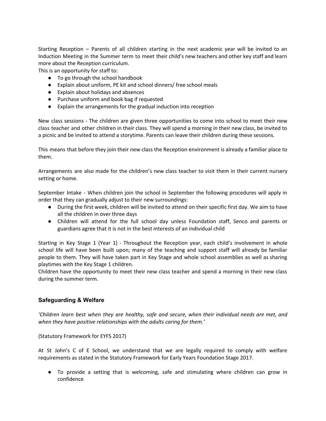Starting Reception – Parents of all children starting in the next academic year will be invited to an Induction Meeting in the Summer term to meet their child's new teachers and other key staff and learn more about the Reception curriculum.

This is an opportunity for staff to:

- To go through the school handbook
- Explain about uniform, PE kit and school dinners/ free school meals
- Explain about holidays and absences
- Purchase uniform and book bag if requested
- Explain the arrangements for the gradual induction into reception

New class sessions - The children are given three opportunities to come into school to meet their new class teacher and other children in their class. They will spend a morning in their new class, be invited to a picnic and be invited to attend a storytime. Parents can leave their children during these sessions.

This means that before they join their new class the Reception environment is already a familiar place to them.

Arrangements are also made for the children's new class teacher to visit them in their current nursery setting or home.

September Intake - When children join the school in September the following procedures will apply in order that they can gradually adjust to their new surroundings:

- During the first week, children will be invited to attend on their specific first day. We aim to have all the children in over three days
- Children will attend for the full school day unless Foundation staff, Senco and parents or guardians agree that it is not in the best interests of an individual child

Starting in Key Stage 1 (Year 1) - Throughout the Reception year, each child's involvement in whole school life will have been built upon; many of the teaching and support staff will already be familiar people to them. They will have taken part in Key Stage and whole school assemblies as well as sharing playtimes with the Key Stage 1 children.

Children have the opportunity to meet their new class teacher and spend a morning in their new class during the summer term.

# **Safeguarding & Welfare**

*'Children learn best when they are healthy, safe and secure, when their individual needs are met, and when they have positive relationships with the adults caring for them.'*

(Statutory Framework for EYFS 2017)

At St John's C of E School, we understand that we are legally required to comply with welfare requirements as stated in the Statutory Framework for Early Years Foundation Stage 2017.

● To provide a setting that is welcoming, safe and stimulating where children can grow in confidence